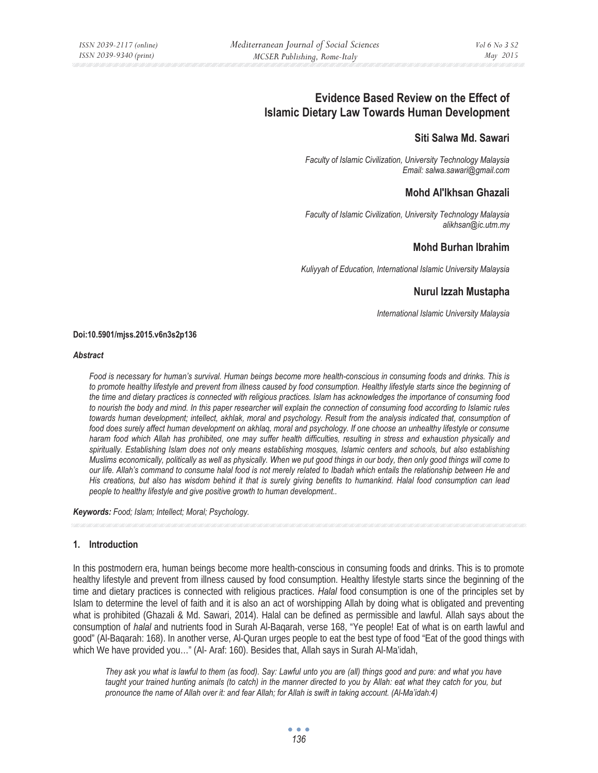# **Evidence Based Review on the Effect of Islamic Dietary Law Towards Human Development**

# **Siti Salwa Md. Sawari**

*Faculty of Islamic Civilization, University Technology Malaysia Email: salwa.sawari@gmail.com* 

## **Mohd Al'Ikhsan Ghazali**

*Faculty of Islamic Civilization, University Technology Malaysia alikhsan@ic.utm.my* 

# **Mohd Burhan Ibrahim**

*Kuliyyah of Education, International Islamic University Malaysia* 

# **Nurul Izzah Mustapha**

*International Islamic University Malaysia* 

#### **Doi:10.5901/mjss.2015.v6n3s2p136**

#### *Abstract*

*Food is necessary for human's survival. Human beings become more health-conscious in consuming foods and drinks. This is*  to promote healthy lifestyle and prevent from illness caused by food consumption. Healthy lifestyle starts since the beginning of *the time and dietary practices is connected with religious practices. Islam has acknowledges the importance of consuming food to nourish the body and mind. In this paper researcher will explain the connection of consuming food according to Islamic rules* towards human development; intellect, akhlak, moral and psychology. Result from the analysis indicated that, consumption of food does surely affect human development on akhlaq, moral and psychology. If one choose an unhealthy lifestyle or consume *haram food which Allah has prohibited, one may suffer health difficulties, resulting in stress and exhaustion physically and spiritually. Establishing Islam does not only means establishing mosques, Islamic centers and schools, but also establishing Muslims economically, politically as well as physically. When we put good things in our body, then only good things will come to our life. Allah's command to consume halal food is not merely related to Ibadah which entails the relationship between He and His creations, but also has wisdom behind it that is surely giving benefits to humankind. Halal food consumption can lead people to healthy lifestyle and give positive growth to human development..* 

*Keywords: Food; Islam; Intellect; Moral; Psychology.* 

### **1. Introduction**

In this postmodern era, human beings become more health-conscious in consuming foods and drinks. This is to promote healthy lifestyle and prevent from illness caused by food consumption. Healthy lifestyle starts since the beginning of the time and dietary practices is connected with religious practices. *Halal* food consumption is one of the principles set by Islam to determine the level of faith and it is also an act of worshipping Allah by doing what is obligated and preventing what is prohibited (Ghazali & Md. Sawari, 2014). Halal can be defined as permissible and lawful. Allah says about the consumption of *halal* and nutrients food in Surah Al-Baqarah, verse 168, "Ye people! Eat of what is on earth lawful and good" (Al-Baqarah: 168). In another verse, Al-Quran urges people to eat the best type of food "Eat of the good things with which We have provided you…" (Al- Araf: 160). Besides that, Allah says in Surah Al-Ma'idah,

*They ask you what is lawful to them (as food). Say: Lawful unto you are (all) things good and pure: and what you have taught your trained hunting animals (to catch) in the manner directed to you by Allah: eat what they catch for you, but pronounce the name of Allah over it: and fear Allah; for Allah is swift in taking account. (Al-Ma'idah:4)*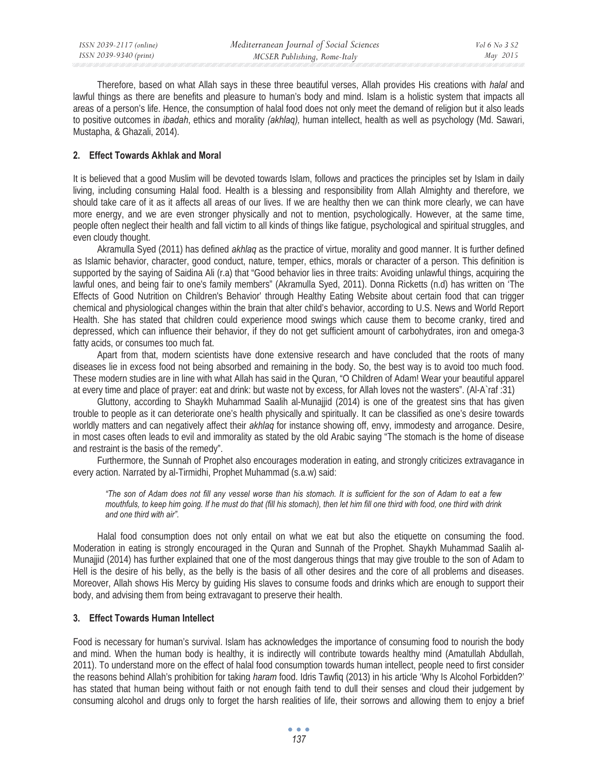| ISSN 2039-2117 (online) | Mediterranean Journal of Social Sciences | Vol 6 No 3 S2 |
|-------------------------|------------------------------------------|---------------|
| ISSN 2039-9340 (print)  | MCSER Publishing, Rome-Italy             | May 2015      |
|                         |                                          |               |

Therefore, based on what Allah says in these three beautiful verses, Allah provides His creations with *halal* and lawful things as there are benefits and pleasure to human's body and mind. Islam is a holistic system that impacts all areas of a person's life. Hence, the consumption of halal food does not only meet the demand of religion but it also leads to positive outcomes in *ibadah*, ethics and morality *(akhlaq),* human intellect, health as well as psychology (Md. Sawari, Mustapha, & Ghazali, 2014).

### **2. Effect Towards Akhlak and Moral**

It is believed that a good Muslim will be devoted towards Islam, follows and practices the principles set by Islam in daily living, including consuming Halal food. Health is a blessing and responsibility from Allah Almighty and therefore, we should take care of it as it affects all areas of our lives. If we are healthy then we can think more clearly, we can have more energy, and we are even stronger physically and not to mention, psychologically. However, at the same time, people often neglect their health and fall victim to all kinds of things like fatigue, psychological and spiritual struggles, and even cloudy thought.

Akramulla Syed (2011) has defined *akhlaq* as the practice of virtue, morality and good manner. It is further defined as Islamic behavior, character, good conduct, nature, temper, ethics, morals or character of a person. This definition is supported by the saying of Saidina Ali (r.a) that "Good behavior lies in three traits: Avoiding unlawful things, acquiring the lawful ones, and being fair to one's family members" (Akramulla Syed, 2011). Donna Ricketts (n.d) has written on 'The Effects of Good Nutrition on Children's Behavior' through Healthy Eating Website about certain food that can trigger chemical and physiological changes within the brain that alter child's behavior, according to U.S. News and World Report Health. She has stated that children could experience mood swings which cause them to become cranky, tired and depressed, which can influence their behavior, if they do not get sufficient amount of carbohydrates, iron and omega-3 fatty acids, or consumes too much fat.

Apart from that, modern scientists have done extensive research and have concluded that the roots of many diseases lie in excess food not being absorbed and remaining in the body. So, the best way is to avoid too much food. These modern studies are in line with what Allah has said in the Quran, "O Children of Adam! Wear your beautiful apparel at every time and place of prayer: eat and drink: but waste not by excess, for Allah loves not the wasters". (Al-A`raf :31)

Gluttony, according to Shaykh Muhammad Saalih al-Munajjid (2014) is one of the greatest sins that has given trouble to people as it can deteriorate one's health physically and spiritually. It can be classified as one's desire towards worldly matters and can negatively affect their *akhlaq* for instance showing off, envy, immodesty and arrogance. Desire, in most cases often leads to evil and immorality as stated by the old Arabic saying "The stomach is the home of disease and restraint is the basis of the remedy".

Furthermore, the Sunnah of Prophet also encourages moderation in eating, and strongly criticizes extravagance in every action. Narrated by al-Tirmidhi, Prophet Muhammad (s.a.w) said:

*"The son of Adam does not fill any vessel worse than his stomach. It is sufficient for the son of Adam to eat a few mouthfuls, to keep him going. If he must do that (fill his stomach), then let him fill one third with food, one third with drink and one third with air".* 

Halal food consumption does not only entail on what we eat but also the etiquette on consuming the food. Moderation in eating is strongly encouraged in the Quran and Sunnah of the Prophet. Shaykh Muhammad Saalih al-Munajjid (2014) has further explained that one of the most dangerous things that may give trouble to the son of Adam to Hell is the desire of his belly, as the belly is the basis of all other desires and the core of all problems and diseases. Moreover, Allah shows His Mercy by guiding His slaves to consume foods and drinks which are enough to support their body, and advising them from being extravagant to preserve their health.

#### **3. Effect Towards Human Intellect**

Food is necessary for human's survival. Islam has acknowledges the importance of consuming food to nourish the body and mind. When the human body is healthy, it is indirectly will contribute towards healthy mind (Amatullah Abdullah, 2011). To understand more on the effect of halal food consumption towards human intellect, people need to first consider the reasons behind Allah's prohibition for taking *haram* food. Idris Tawfiq (2013) in his article 'Why Is Alcohol Forbidden?' has stated that human being without faith or not enough faith tend to dull their senses and cloud their judgement by consuming alcohol and drugs only to forget the harsh realities of life, their sorrows and allowing them to enjoy a brief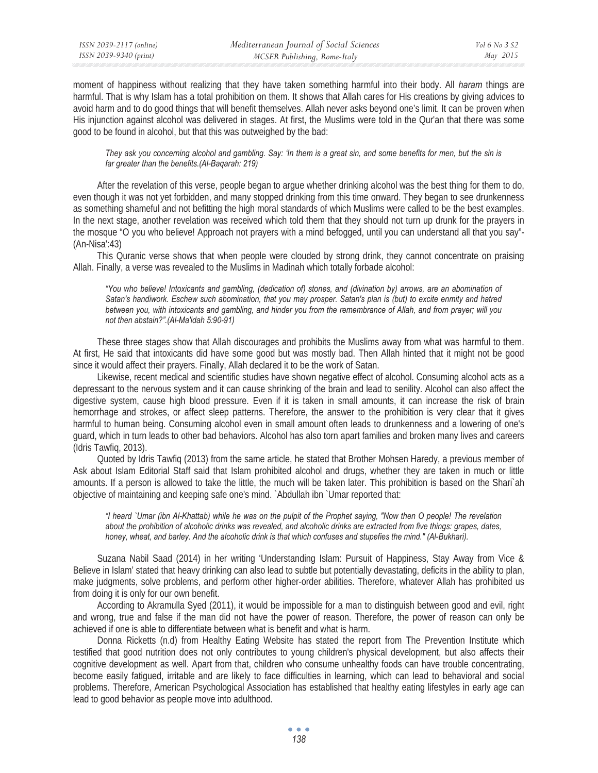moment of happiness without realizing that they have taken something harmful into their body. All *haram* things are harmful. That is why Islam has a total prohibition on them. It shows that Allah cares for His creations by giving advices to avoid harm and to do good things that will benefit themselves. Allah never asks beyond one's limit. It can be proven when His injunction against alcohol was delivered in stages. At first, the Muslims were told in the Qur'an that there was some good to be found in alcohol, but that this was outweighed by the bad:

*They ask you concerning alcohol and gambling. Say: 'In them is a great sin, and some benefits for men, but the sin is far greater than the benefits.(Al-Baqarah: 219)* 

After the revelation of this verse, people began to argue whether drinking alcohol was the best thing for them to do, even though it was not yet forbidden, and many stopped drinking from this time onward. They began to see drunkenness as something shameful and not befitting the high moral standards of which Muslims were called to be the best examples. In the next stage, another revelation was received which told them that they should not turn up drunk for the prayers in the mosque "O you who believe! Approach not prayers with a mind befogged, until you can understand all that you say"- (An-Nisa':43)

This Quranic verse shows that when people were clouded by strong drink, they cannot concentrate on praising Allah. Finally, a verse was revealed to the Muslims in Madinah which totally forbade alcohol:

*"You who believe! Intoxicants and gambling, (dedication of) stones, and (divination by) arrows, are an abomination of*  Satan's handiwork. Eschew such abomination, that you may prosper. Satan's plan is (but) to excite enmity and hatred *between you, with intoxicants and gambling, and hinder you from the remembrance of Allah, and from prayer; will you not then abstain?".(Al-Ma'idah 5:90-91)* 

These three stages show that Allah discourages and prohibits the Muslims away from what was harmful to them. At first, He said that intoxicants did have some good but was mostly bad. Then Allah hinted that it might not be good since it would affect their prayers. Finally, Allah declared it to be the work of Satan.

Likewise, recent medical and scientific studies have shown negative effect of alcohol. Consuming alcohol acts as a depressant to the nervous system and it can cause shrinking of the brain and lead to senility. Alcohol can also affect the digestive system, cause high blood pressure. Even if it is taken in small amounts, it can increase the risk of brain hemorrhage and strokes, or affect sleep patterns. Therefore, the answer to the prohibition is very clear that it gives harmful to human being. Consuming alcohol even in small amount often leads to drunkenness and a lowering of one's guard, which in turn leads to other bad behaviors. Alcohol has also torn apart families and broken many lives and careers (Idris Tawfiq, 2013).

Quoted by Idris Tawfiq (2013) from the same article, he stated that Brother Mohsen Haredy, a previous member of Ask about Islam Editorial Staff said that Islam prohibited alcohol and drugs, whether they are taken in much or little amounts. If a person is allowed to take the little, the much will be taken later. This prohibition is based on the Shari`ah objective of maintaining and keeping safe one's mind. `Abdullah ibn `Umar reported that:

*"I heard `Umar (ibn Al-Khattab) while he was on the pulpit of the Prophet saying, "Now then O people! The revelation about the prohibition of alcoholic drinks was revealed, and alcoholic drinks are extracted from five things: grapes, dates, honey, wheat, and barley. And the alcoholic drink is that which confuses and stupefies the mind." (Al-Bukhari).* 

Suzana Nabil Saad (2014) in her writing 'Understanding Islam: Pursuit of Happiness, Stay Away from Vice & Believe in Islam' stated that heavy drinking can also lead to subtle but potentially devastating, deficits in the ability to plan, make judgments, solve problems, and perform other higher-order abilities. Therefore, whatever Allah has prohibited us from doing it is only for our own benefit.

According to Akramulla Syed (2011), it would be impossible for a man to distinguish between good and evil, right and wrong, true and false if the man did not have the power of reason. Therefore, the power of reason can only be achieved if one is able to differentiate between what is benefit and what is harm.

Donna Ricketts (n.d) from Healthy Eating Website has stated the report from The Prevention Institute which testified that good nutrition does not only contributes to young children's physical development, but also affects their cognitive development as well. Apart from that, children who consume unhealthy foods can have trouble concentrating, become easily fatigued, irritable and are likely to face difficulties in learning, which can lead to behavioral and social problems. Therefore, American Psychological Association has established that healthy eating lifestyles in early age can lead to good behavior as people move into adulthood.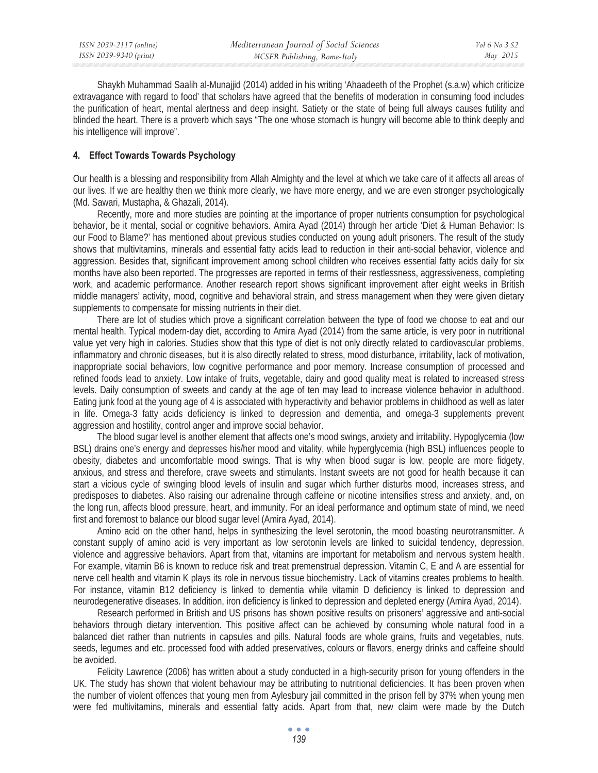Shaykh Muhammad Saalih al-Munajjid (2014) added in his writing 'Ahaadeeth of the Prophet (s.a.w) which criticize extravagance with regard to food' that scholars have agreed that the benefits of moderation in consuming food includes the purification of heart, mental alertness and deep insight. Satiety or the state of being full always causes futility and blinded the heart. There is a proverb which says "The one whose stomach is hungry will become able to think deeply and his intelligence will improve".

## **4. Effect Towards Towards Psychology**

Our health is a blessing and responsibility from Allah Almighty and the level at which we take care of it affects all areas of our lives. If we are healthy then we think more clearly, we have more energy, and we are even stronger psychologically (Md. Sawari, Mustapha, & Ghazali, 2014).

Recently, more and more studies are pointing at the importance of proper nutrients consumption for psychological behavior, be it mental, social or cognitive behaviors. Amira Ayad (2014) through her article 'Diet & Human Behavior: Is our Food to Blame?' has mentioned about previous studies conducted on young adult prisoners. The result of the study shows that multivitamins, minerals and essential fatty acids lead to reduction in their anti-social behavior, violence and aggression. Besides that, significant improvement among school children who receives essential fatty acids daily for six months have also been reported. The progresses are reported in terms of their restlessness, aggressiveness, completing work, and academic performance. Another research report shows significant improvement after eight weeks in British middle managers' activity, mood, cognitive and behavioral strain, and stress management when they were given dietary supplements to compensate for missing nutrients in their diet.

There are lot of studies which prove a significant correlation between the type of food we choose to eat and our mental health. Typical modern-day diet, according to Amira Ayad (2014) from the same article, is very poor in nutritional value yet very high in calories. Studies show that this type of diet is not only directly related to cardiovascular problems, inflammatory and chronic diseases, but it is also directly related to stress, mood disturbance, irritability, lack of motivation, inappropriate social behaviors, low cognitive performance and poor memory. Increase consumption of processed and refined foods lead to anxiety. Low intake of fruits, vegetable, dairy and good quality meat is related to increased stress levels. Daily consumption of sweets and candy at the age of ten may lead to increase violence behavior in adulthood. Eating junk food at the young age of 4 is associated with hyperactivity and behavior problems in childhood as well as later in life. Omega-3 fatty acids deficiency is linked to depression and dementia, and omega-3 supplements prevent aggression and hostility, control anger and improve social behavior.

The blood sugar level is another element that affects one's mood swings, anxiety and irritability. Hypoglycemia (low BSL) drains one's energy and depresses his/her mood and vitality, while hyperglycemia (high BSL) influences people to obesity, diabetes and uncomfortable mood swings. That is why when blood sugar is low, people are more fidgety, anxious, and stress and therefore, crave sweets and stimulants. Instant sweets are not good for health because it can start a vicious cycle of swinging blood levels of insulin and sugar which further disturbs mood, increases stress, and predisposes to diabetes. Also raising our adrenaline through caffeine or nicotine intensifies stress and anxiety, and, on the long run, affects blood pressure, heart, and immunity. For an ideal performance and optimum state of mind, we need first and foremost to balance our blood sugar level (Amira Ayad, 2014).

Amino acid on the other hand, helps in synthesizing the level serotonin, the mood boasting neurotransmitter. A constant supply of amino acid is very important as low serotonin levels are linked to suicidal tendency, depression, violence and aggressive behaviors. Apart from that, vitamins are important for metabolism and nervous system health. For example, vitamin B6 is known to reduce risk and treat premenstrual depression. Vitamin C, E and A are essential for nerve cell health and vitamin K plays its role in nervous tissue biochemistry. Lack of vitamins creates problems to health. For instance, vitamin B12 deficiency is linked to dementia while vitamin D deficiency is linked to depression and neurodegenerative diseases. In addition, iron deficiency is linked to depression and depleted energy (Amira Ayad, 2014).

Research performed in British and US prisons has shown positive results on prisoners' aggressive and anti-social behaviors through dietary intervention. This positive affect can be achieved by consuming whole natural food in a balanced diet rather than nutrients in capsules and pills. Natural foods are whole grains, fruits and vegetables, nuts, seeds, legumes and etc. processed food with added preservatives, colours or flavors, energy drinks and caffeine should be avoided.

Felicity Lawrence (2006) has written about a study conducted in a high-security prison for young offenders in the UK. The study has shown that violent behaviour may be attributing to nutritional deficiencies. It has been proven when the number of violent offences that young men from Aylesbury jail committed in the prison fell by 37% when young men were fed multivitamins, minerals and essential fatty acids. Apart from that, new claim were made by the Dutch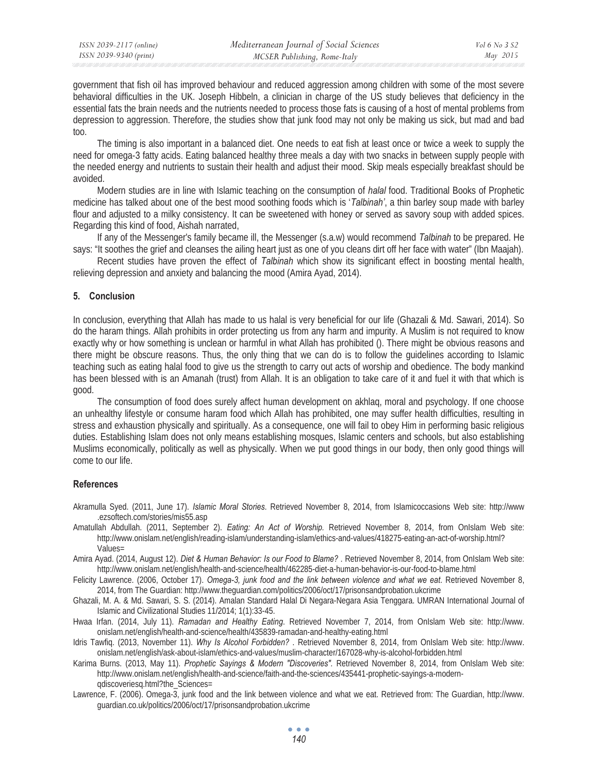government that fish oil has improved behaviour and reduced aggression among children with some of the most severe behavioral difficulties in the UK. Joseph Hibbeln, a clinician in charge of the US study believes that deficiency in the essential fats the brain needs and the nutrients needed to process those fats is causing of a host of mental problems from depression to aggression. Therefore, the studies show that junk food may not only be making us sick, but mad and bad too.

The timing is also important in a balanced diet. One needs to eat fish at least once or twice a week to supply the need for omega-3 fatty acids. Eating balanced healthy three meals a day with two snacks in between supply people with the needed energy and nutrients to sustain their health and adjust their mood. Skip meals especially breakfast should be avoided.

Modern studies are in line with Islamic teaching on the consumption of *halal* food. Traditional Books of Prophetic medicine has talked about one of the best mood soothing foods which is '*Talbinah'*, a thin barley soup made with barley flour and adjusted to a milky consistency. It can be sweetened with honey or served as savory soup with added spices. Regarding this kind of food, Aishah narrated,

If any of the Messenger's family became ill, the Messenger (s.a.w) would recommend *Talbinah* to be prepared. He says: "It soothes the grief and cleanses the ailing heart just as one of you cleans dirt off her face with water" (Ibn Maajah).

Recent studies have proven the effect of *Talbinah* which show its significant effect in boosting mental health, relieving depression and anxiety and balancing the mood (Amira Ayad, 2014).

### **5. Conclusion**

In conclusion, everything that Allah has made to us halal is very beneficial for our life (Ghazali & Md. Sawari, 2014). So do the haram things. Allah prohibits in order protecting us from any harm and impurity. A Muslim is not required to know exactly why or how something is unclean or harmful in what Allah has prohibited (). There might be obvious reasons and there might be obscure reasons. Thus, the only thing that we can do is to follow the guidelines according to Islamic teaching such as eating halal food to give us the strength to carry out acts of worship and obedience. The body mankind has been blessed with is an Amanah (trust) from Allah. It is an obligation to take care of it and fuel it with that which is good.

The consumption of food does surely affect human development on akhlaq, moral and psychology. If one choose an unhealthy lifestyle or consume haram food which Allah has prohibited, one may suffer health difficulties, resulting in stress and exhaustion physically and spiritually. As a consequence, one will fail to obey Him in performing basic religious duties. Establishing Islam does not only means establishing mosques, Islamic centers and schools, but also establishing Muslims economically, politically as well as physically. When we put good things in our body, then only good things will come to our life.

#### **References**

- Akramulla Syed. (2011, June 17). *Islamic Moral Stories*. Retrieved November 8, 2014, from Islamicoccasions Web site: http://www .ezsoftech.com/stories/mis55.asp
- Amatullah Abdullah. (2011, September 2). *Eating: An Act of Worship.* Retrieved November 8, 2014, from OnIslam Web site: http://www.onislam.net/english/reading-islam/understanding-islam/ethics-and-values/418275-eating-an-act-of-worship.html? Values=
- Amira Ayad. (2014, August 12). *Diet & Human Behavior: Is our Food to Blame?* . Retrieved November 8, 2014, from OnIslam Web site: http://www.onislam.net/english/health-and-science/health/462285-diet-a-human-behavior-is-our-food-to-blame.html
- Felicity Lawrence. (2006, October 17). *Omega-3, junk food and the link between violence and what we eat*. Retrieved November 8, 2014, from The Guardian: http://www.theguardian.com/politics/2006/oct/17/prisonsandprobation.ukcrime
- Ghazali, M. A. & Md. Sawari, S. S. (2014). Amalan Standard Halal Di Negara-Negara Asia Tenggara. UMRAN International Journal of Islamic and Civilizational Studies 11/2014; 1(1):33-45.
- Hwaa Irfan. (2014, July 11). *Ramadan and Healthy Eating*. Retrieved November 7, 2014, from OnIslam Web site: http://www. onislam.net/english/health-and-science/health/435839-ramadan-and-healthy-eating.html
- Idris Tawfiq. (2013, November 11). *Why Is Alcohol Forbidden?* . Retrieved November 8, 2014, from OnIslam Web site: http://www. onislam.net/english/ask-about-islam/ethics-and-values/muslim-character/167028-why-is-alcohol-forbidden.html
- Karima Burns. (2013, May 11). *Prophetic Sayings & Modern "Discoveries".* Retrieved November 8, 2014, from OnIslam Web site: http://www.onislam.net/english/health-and-science/faith-and-the-sciences/435441-prophetic-sayings-a-modernqdiscoveriesq.html?the\_Sciences=
- Lawrence, F. (2006). Omega-3, junk food and the link between violence and what we eat. Retrieved from: The Guardian, http://www. guardian.co.uk/politics/2006/oct/17/prisonsandprobation.ukcrime